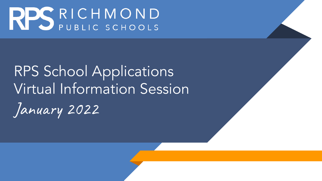# RPS RICHMOND

# RPS School Applications Virtual Information Session January 2022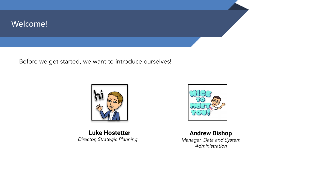

Before we get started, we want to introduce ourselves!



**Luke Hostetter** Director, Strategic Planning



**Andrew Bishop** Manager, Data and System Administration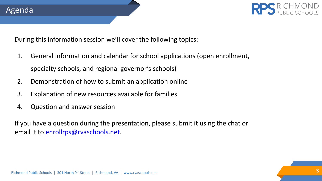

During this information session we'll cover the following topics:

- 1. General information and calendar for school applications (open enrollment, specialty schools, and regional governor's schools)
- 2. Demonstration of how to submit an application online
- 3. Explanation of new resources available for families
- 4. Question and answer session

If you have a question during the presentation, please submit it using the chat or email it to [enrollrps@rvaschools.net](mailto:enrollrps@rvaschools.net).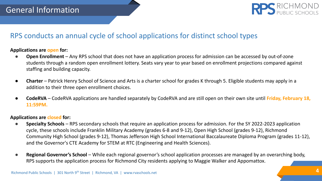

#### RPS conducts an annual cycle of school applications for distinct school types

#### **Applications are open for:**

- **Open Enrollment** Any RPS school that does not have an application process for admission can be accessed by out-of-zone students through a random open enrollment lottery. Seats vary year to year based on enrollment projections compared against staffing and building capacity.
- **● Charter**  Patrick Henry School of Science and Arts is a charter school for grades K through 5. Eligible students may apply in a addition to their three open enrollment choices.
- **CodeRVA** CodeRVA applications are handled separately by CodeRVA and are still open on their own site until Friday, February 18, **11:59PM.**

#### **Applications are closed for:**

- **Specialty Schools** RPS secondary schools that require an application process for admission. For the SY 2022-2023 application cycle, these schools include Franklin Military Academy (grades 6-8 and 9-12), Open High School (grades 9-12), Richmond Community High School (grades 9-12), Thomas Jefferson High School International Baccalaureate Diploma Program (grades 11-12), and the Governor's CTE Academy for STEM at RTC (Engineering and Health Sciences).
- **Regional Governor's School** While each regional governor's school application processes are managed by an overarching body, RPS supports the application process for Richmond City residents applying to Maggie Walker and Appomattox.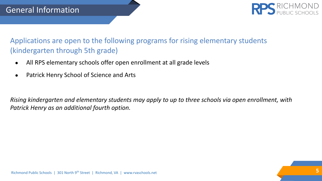

## Applications are open to the following programs for rising elementary students (kindergarten through 5th grade)

- All RPS elementary schools offer open enrollment at all grade levels
- Patrick Henry School of Science and Arts

*Rising kindergarten and elementary students may apply to up to three schools via open enrollment, with Patrick Henry as an additional fourth option.*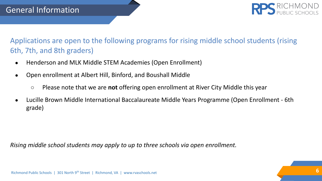

Applications are open to the following programs for rising middle school students (rising 6th, 7th, and 8th graders)

- Henderson and MLK Middle STEM Academies (Open Enrollment)
- Open enrollment at Albert Hill, Binford, and Boushall Middle
	- Please note that we are **not** offering open enrollment at River City Middle this year
- Lucille Brown Middle International Baccalaureate Middle Years Programme (Open Enrollment 6th grade)

*Rising middle school students may apply to up to three schools via open enrollment.*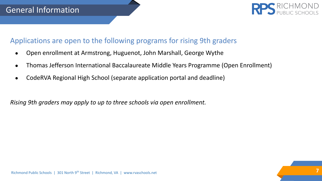

#### Applications are open to the following programs for rising 9th graders

- Open enrollment at Armstrong, Huguenot, John Marshall, George Wythe
- Thomas Jefferson International Baccalaureate Middle Years Programme (Open Enrollment)
- CodeRVA Regional High School (separate application portal and deadline)

*Rising 9th graders may apply to up to three schools via open enrollment.*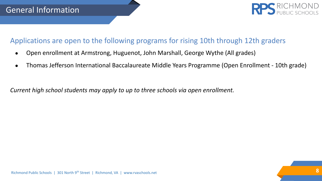

#### Applications are open to the following programs for rising 10th through 12th graders

- Open enrollment at Armstrong, Huguenot, John Marshall, George Wythe (All grades)
- Thomas Jefferson International Baccalaureate Middle Years Programme (Open Enrollment 10th grade)

*Current high school students may apply to up to three schools via open enrollment.*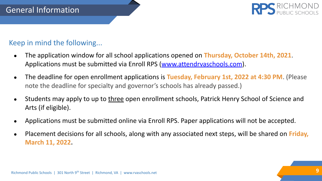

### Keep in mind the following...

- The application window for all school applications opened on **Thursday, October 14th, 2021**. Applications must be submitted via Enroll RPS (www.attendryaschools.com).
- The deadline for open enrollment applications is **Tuesday, February 1st, 2022 at 4:30 PM**. (Please note the deadline for specialty and governor's schools has already passed.)
- Students may apply to up to three open enrollment schools, Patrick Henry School of Science and Arts (if eligible).
- Applications must be submitted online via Enroll RPS. Paper applications will not be accepted.
- Placement decisions for all schools, along with any associated next steps, will be shared on **Friday, March 11, 2022.**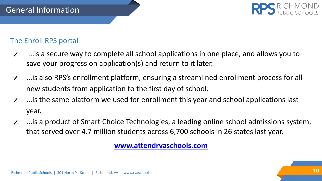

### The Enroll RPS portal

- ✓ ...is a secure way to complete all school applications in one place, and allows you to save your progress on application(s) and return to it later.
- ...is also RPS's enrollment platform, ensuring a streamlined enrollment process for all new students from application to the first day of school.
- ... is the same platform we used for enrollment this year and school applications last year.
- ...is a product of Smart Choice Technologies, a leading online school admissions system, that served over 4.7 million students across 6,700 schools in 26 states last year.

#### **www.attendrvaschools.com**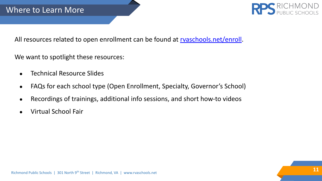

All resources related to open enrollment can be found at [rvaschools.net/enroll.](http://rvaschools.net/enroll)

We want to spotlight these resources:

- Technical Resource Slides
- FAQs for each school type (Open Enrollment, Specialty, Governor's School)
- Recordings of trainings, additional info sessions, and short how-to videos
- Virtual School Fair